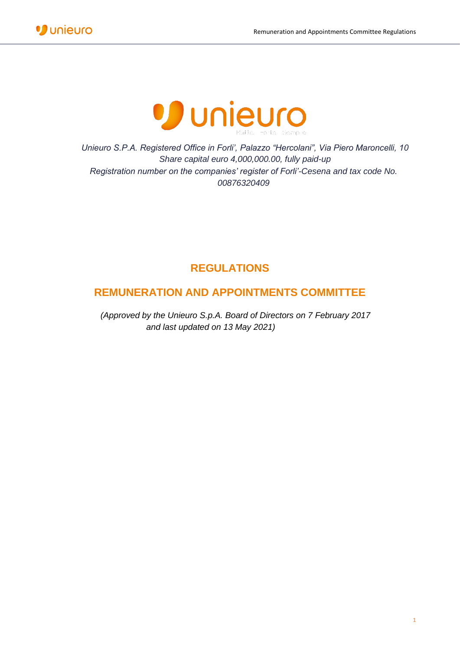



*Unieuro S.P.A. Registered Office in Forli', Palazzo "Hercolani", Via Piero Maroncelli, 10 Share capital euro 4,000,000.00, fully paid-up Registration number on the companies' register of Forli'-Cesena and tax code No. 00876320409*

# **REGULATIONS**

## **REMUNERATION AND APPOINTMENTS COMMITTEE**

*(Approved by the Unieuro S.p.A. Board of Directors on 7 February 2017 and last updated on 13 May 2021)*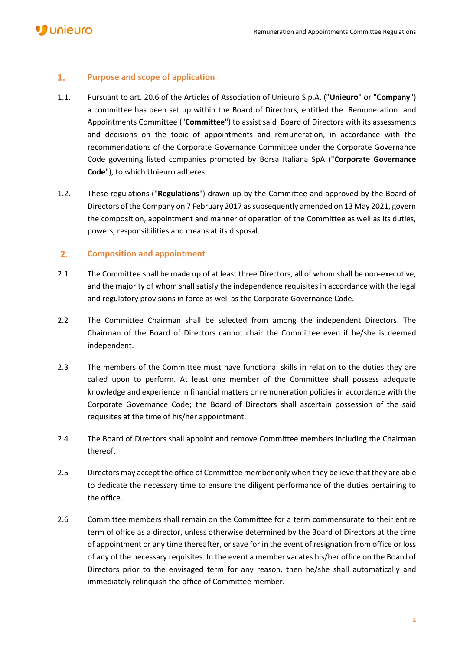### $1.$ **Purpose and scope of application**

- 1.1. Pursuant to art. 20.6 of the Articles of Association of Unieuro S.p.A. ("**Unieuro**" or "**Company**") a committee has been set up within the Board of Directors, entitled the Remuneration and Appointments Committee ("**Committee**") to assist said Board of Directors with its assessments and decisions on the topic of appointments and remuneration, in accordance with the recommendations of the Corporate Governance Committee under the Corporate Governance Code governing listed companies promoted by Borsa Italiana SpA ("**Corporate Governance Code**"), to which Unieuro adheres.
- 1.2. These regulations ("**Regulations**") drawn up by the Committee and approved by the Board of Directors of the Company on 7 February 2017 as subsequently amended on 13 May 2021, govern the composition, appointment and manner of operation of the Committee as well as its duties, powers, responsibilities and means at its disposal.

#### $2.$ **Composition and appointment**

- 2.1 The Committee shall be made up of at least three Directors, all of whom shall be non-executive, and the majority of whom shall satisfy the independence requisites in accordance with the legal and regulatory provisions in force as well as the Corporate Governance Code.
- 2.2 The Committee Chairman shall be selected from among the independent Directors. The Chairman of the Board of Directors cannot chair the Committee even if he/she is deemed independent.
- 2.3 The members of the Committee must have functional skills in relation to the duties they are called upon to perform. At least one member of the Committee shall possess adequate knowledge and experience in financial matters or remuneration policies in accordance with the Corporate Governance Code; the Board of Directors shall ascertain possession of the said requisites at the time of his/her appointment.
- 2.4 The Board of Directors shall appoint and remove Committee members including the Chairman thereof.
- 2.5 Directors may accept the office of Committee member only when they believe that they are able to dedicate the necessary time to ensure the diligent performance of the duties pertaining to the office.
- 2.6 Committee members shall remain on the Committee for a term commensurate to their entire term of office as a director, unless otherwise determined by the Board of Directors at the time of appointment or any time thereafter, or save for in the event of resignation from office or loss of any of the necessary requisites. In the event a member vacates his/her office on the Board of Directors prior to the envisaged term for any reason, then he/she shall automatically and immediately relinquish the office of Committee member.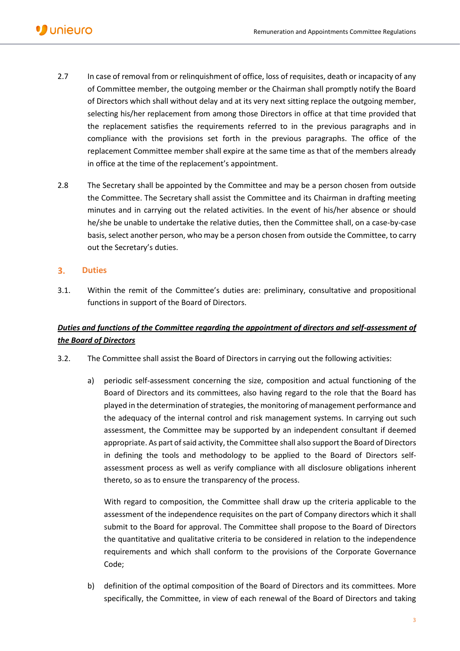- 2.7 In case of removal from or relinquishment of office, loss of requisites, death or incapacity of any of Committee member, the outgoing member or the Chairman shall promptly notify the Board of Directors which shall without delay and at its very next sitting replace the outgoing member, selecting his/her replacement from among those Directors in office at that time provided that the replacement satisfies the requirements referred to in the previous paragraphs and in compliance with the provisions set forth in the previous paragraphs. The office of the replacement Committee member shall expire at the same time as that of the members already in office at the time of the replacement's appointment.
- 2.8 The Secretary shall be appointed by the Committee and may be a person chosen from outside the Committee. The Secretary shall assist the Committee and its Chairman in drafting meeting minutes and in carrying out the related activities. In the event of his/her absence or should he/she be unable to undertake the relative duties, then the Committee shall, on a case-by-case basis, select another person, who may be a person chosen from outside the Committee, to carry out the Secretary's duties.

### $3.$ **Duties**

3.1. Within the remit of the Committee's duties are: preliminary, consultative and propositional functions in support of the Board of Directors.

### *Duties and functions of the Committee regarding the appointment of directors and self-assessment of the Board of Directors*

- 3.2. The Committee shall assist the Board of Directors in carrying out the following activities:
	- a) periodic self-assessment concerning the size, composition and actual functioning of the Board of Directors and its committees, also having regard to the role that the Board has played in the determination of strategies, the monitoring of management performance and the adequacy of the internal control and risk management systems. In carrying out such assessment, the Committee may be supported by an independent consultant if deemed appropriate. As part of said activity, the Committee shall also support the Board of Directors in defining the tools and methodology to be applied to the Board of Directors selfassessment process as well as verify compliance with all disclosure obligations inherent thereto, so as to ensure the transparency of the process.

With regard to composition, the Committee shall draw up the criteria applicable to the assessment of the independence requisites on the part of Company directors which it shall submit to the Board for approval. The Committee shall propose to the Board of Directors the quantitative and qualitative criteria to be considered in relation to the independence requirements and which shall conform to the provisions of the Corporate Governance Code;

b) definition of the optimal composition of the Board of Directors and its committees. More specifically, the Committee, in view of each renewal of the Board of Directors and taking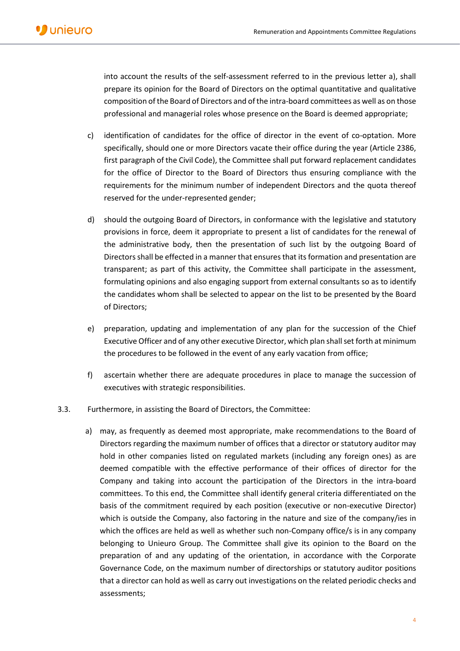into account the results of the self-assessment referred to in the previous letter a), shall prepare its opinion for the Board of Directors on the optimal quantitative and qualitative composition of the Board of Directors and of the intra-board committees as well as on those professional and managerial roles whose presence on the Board is deemed appropriate;

- c) identification of candidates for the office of director in the event of co-optation. More specifically, should one or more Directors vacate their office during the year (Article 2386, first paragraph of the Civil Code), the Committee shall put forward replacement candidates for the office of Director to the Board of Directors thus ensuring compliance with the requirements for the minimum number of independent Directors and the quota thereof reserved for the under-represented gender;
- d) should the outgoing Board of Directors, in conformance with the legislative and statutory provisions in force, deem it appropriate to present a list of candidates for the renewal of the administrative body, then the presentation of such list by the outgoing Board of Directors shall be effected in a manner that ensures that its formation and presentation are transparent; as part of this activity, the Committee shall participate in the assessment, formulating opinions and also engaging support from external consultants so as to identify the candidates whom shall be selected to appear on the list to be presented by the Board of Directors;
- e) preparation, updating and implementation of any plan for the succession of the Chief Executive Officer and of any other executive Director, which plan shall set forth at minimum the procedures to be followed in the event of any early vacation from office;
- f) ascertain whether there are adequate procedures in place to manage the succession of executives with strategic responsibilities.
- 3.3. Furthermore, in assisting the Board of Directors, the Committee:
	- a) may, as frequently as deemed most appropriate, make recommendations to the Board of Directors regarding the maximum number of offices that a director or statutory auditor may hold in other companies listed on regulated markets (including any foreign ones) as are deemed compatible with the effective performance of their offices of director for the Company and taking into account the participation of the Directors in the intra-board committees. To this end, the Committee shall identify general criteria differentiated on the basis of the commitment required by each position (executive or non-executive Director) which is outside the Company, also factoring in the nature and size of the company/ies in which the offices are held as well as whether such non-Company office/s is in any company belonging to Unieuro Group. The Committee shall give its opinion to the Board on the preparation of and any updating of the orientation, in accordance with the Corporate Governance Code, on the maximum number of directorships or statutory auditor positions that a director can hold as well as carry out investigations on the related periodic checks and assessments;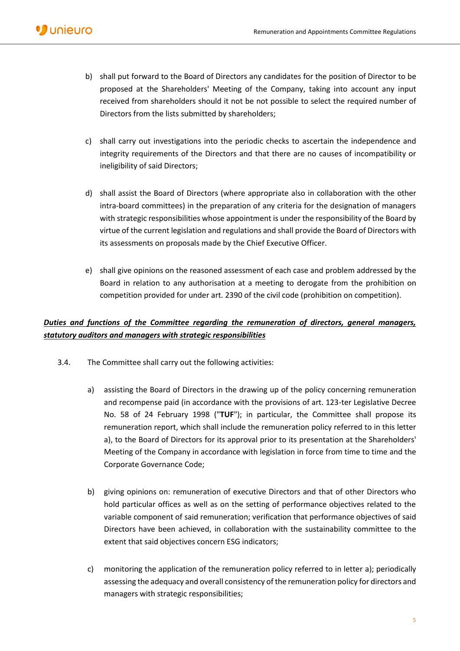- b) shall put forward to the Board of Directors any candidates for the position of Director to be proposed at the Shareholders' Meeting of the Company, taking into account any input received from shareholders should it not be not possible to select the required number of Directors from the lists submitted by shareholders;
- c) shall carry out investigations into the periodic checks to ascertain the independence and integrity requirements of the Directors and that there are no causes of incompatibility or ineligibility of said Directors;
- d) shall assist the Board of Directors (where appropriate also in collaboration with the other intra-board committees) in the preparation of any criteria for the designation of managers with strategic responsibilities whose appointment is under the responsibility of the Board by virtue of the current legislation and regulations and shall provide the Board of Directors with its assessments on proposals made by the Chief Executive Officer.
- e) shall give opinions on the reasoned assessment of each case and problem addressed by the Board in relation to any authorisation at a meeting to derogate from the prohibition on competition provided for under art. 2390 of the civil code (prohibition on competition).

### *Duties and functions of the Committee regarding the remuneration of directors, general managers, statutory auditors and managers with strategic responsibilities*

- 3.4. The Committee shall carry out the following activities:
	- a) assisting the Board of Directors in the drawing up of the policy concerning remuneration and recompense paid (in accordance with the provisions of art. 123-ter Legislative Decree No. 58 of 24 February 1998 ("**TUF**"); in particular, the Committee shall propose its remuneration report, which shall include the remuneration policy referred to in this letter a), to the Board of Directors for its approval prior to its presentation at the Shareholders' Meeting of the Company in accordance with legislation in force from time to time and the Corporate Governance Code;
	- b) giving opinions on: remuneration of executive Directors and that of other Directors who hold particular offices as well as on the setting of performance objectives related to the variable component of said remuneration; verification that performance objectives of said Directors have been achieved, in collaboration with the sustainability committee to the extent that said objectives concern ESG indicators;
	- c) monitoring the application of the remuneration policy referred to in letter a); periodically assessing the adequacy and overall consistency of the remuneration policy for directors and managers with strategic responsibilities;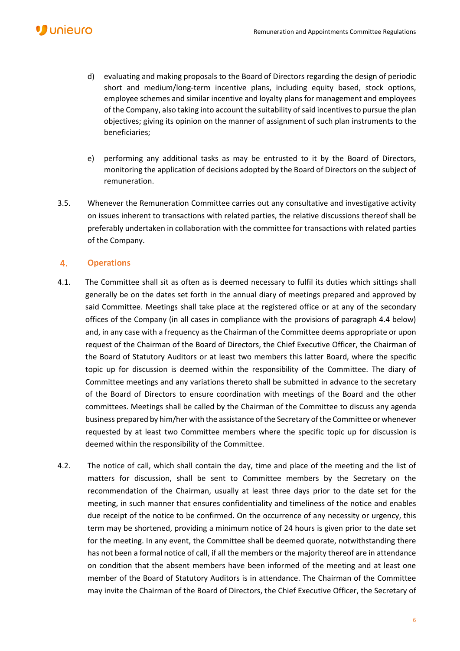- d) evaluating and making proposals to the Board of Directors regarding the design of periodic short and medium/long-term incentive plans, including equity based, stock options, employee schemes and similar incentive and loyalty plans for management and employees of the Company, also taking into account the suitability of said incentives to pursue the plan objectives; giving its opinion on the manner of assignment of such plan instruments to the beneficiaries;
- e) performing any additional tasks as may be entrusted to it by the Board of Directors, monitoring the application of decisions adopted by the Board of Directors on the subject of remuneration.
- 3.5. Whenever the Remuneration Committee carries out any consultative and investigative activity on issues inherent to transactions with related parties, the relative discussions thereof shall be preferably undertaken in collaboration with the committee for transactions with related parties of the Company.

#### $4.$ **Operations**

- 4.1. The Committee shall sit as often as is deemed necessary to fulfil its duties which sittings shall generally be on the dates set forth in the annual diary of meetings prepared and approved by said Committee. Meetings shall take place at the registered office or at any of the secondary offices of the Company (in all cases in compliance with the provisions of paragraph 4.4 below) and, in any case with a frequency as the Chairman of the Committee deems appropriate or upon request of the Chairman of the Board of Directors, the Chief Executive Officer, the Chairman of the Board of Statutory Auditors or at least two members this latter Board, where the specific topic up for discussion is deemed within the responsibility of the Committee. The diary of Committee meetings and any variations thereto shall be submitted in advance to the secretary of the Board of Directors to ensure coordination with meetings of the Board and the other committees. Meetings shall be called by the Chairman of the Committee to discuss any agenda business prepared by him/her with the assistance of the Secretary of the Committee or whenever requested by at least two Committee members where the specific topic up for discussion is deemed within the responsibility of the Committee.
- 4.2. The notice of call, which shall contain the day, time and place of the meeting and the list of matters for discussion, shall be sent to Committee members by the Secretary on the recommendation of the Chairman, usually at least three days prior to the date set for the meeting, in such manner that ensures confidentiality and timeliness of the notice and enables due receipt of the notice to be confirmed. On the occurrence of any necessity or urgency, this term may be shortened, providing a minimum notice of 24 hours is given prior to the date set for the meeting. In any event, the Committee shall be deemed quorate, notwithstanding there has not been a formal notice of call, if all the members or the majority thereof are in attendance on condition that the absent members have been informed of the meeting and at least one member of the Board of Statutory Auditors is in attendance. The Chairman of the Committee may invite the Chairman of the Board of Directors, the Chief Executive Officer, the Secretary of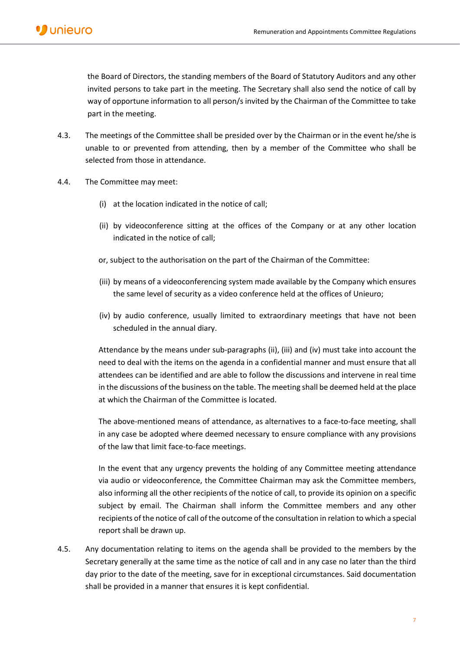the Board of Directors, the standing members of the Board of Statutory Auditors and any other invited persons to take part in the meeting. The Secretary shall also send the notice of call by way of opportune information to all person/s invited by the Chairman of the Committee to take part in the meeting.

- 4.3. The meetings of the Committee shall be presided over by the Chairman or in the event he/she is unable to or prevented from attending, then by a member of the Committee who shall be selected from those in attendance.
- 4.4. The Committee may meet:
	- (i) at the location indicated in the notice of call;
	- (ii) by videoconference sitting at the offices of the Company or at any other location indicated in the notice of call;
	- or, subject to the authorisation on the part of the Chairman of the Committee:
	- (iii) by means of a videoconferencing system made available by the Company which ensures the same level of security as a video conference held at the offices of Unieuro;
	- (iv) by audio conference, usually limited to extraordinary meetings that have not been scheduled in the annual diary.

Attendance by the means under sub-paragraphs (ii), (iii) and (iv) must take into account the need to deal with the items on the agenda in a confidential manner and must ensure that all attendees can be identified and are able to follow the discussions and intervene in real time in the discussions of the business on the table. The meeting shall be deemed held at the place at which the Chairman of the Committee is located.

The above-mentioned means of attendance, as alternatives to a face-to-face meeting, shall in any case be adopted where deemed necessary to ensure compliance with any provisions of the law that limit face-to-face meetings.

In the event that any urgency prevents the holding of any Committee meeting attendance via audio or videoconference, the Committee Chairman may ask the Committee members, also informing all the other recipients of the notice of call, to provide its opinion on a specific subject by email. The Chairman shall inform the Committee members and any other recipients of the notice of call of the outcome of the consultation in relation to which a special report shall be drawn up.

4.5. Any documentation relating to items on the agenda shall be provided to the members by the Secretary generally at the same time as the notice of call and in any case no later than the third day prior to the date of the meeting, save for in exceptional circumstances. Said documentation shall be provided in a manner that ensures it is kept confidential.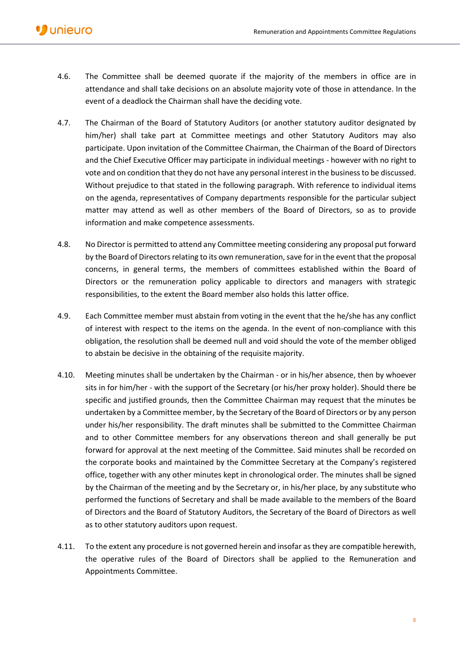- 4.6. The Committee shall be deemed quorate if the majority of the members in office are in attendance and shall take decisions on an absolute majority vote of those in attendance. In the event of a deadlock the Chairman shall have the deciding vote.
- 4.7. The Chairman of the Board of Statutory Auditors (or another statutory auditor designated by him/her) shall take part at Committee meetings and other Statutory Auditors may also participate. Upon invitation of the Committee Chairman, the Chairman of the Board of Directors and the Chief Executive Officer may participate in individual meetings - however with no right to vote and on condition that they do not have any personal interest in the business to be discussed. Without prejudice to that stated in the following paragraph. With reference to individual items on the agenda, representatives of Company departments responsible for the particular subject matter may attend as well as other members of the Board of Directors, so as to provide information and make competence assessments.
- 4.8. No Director is permitted to attend any Committee meeting considering any proposal put forward by the Board of Directors relating to its own remuneration, save for in the event that the proposal concerns, in general terms, the members of committees established within the Board of Directors or the remuneration policy applicable to directors and managers with strategic responsibilities, to the extent the Board member also holds this latter office.
- 4.9. Each Committee member must abstain from voting in the event that the he/she has any conflict of interest with respect to the items on the agenda. In the event of non-compliance with this obligation, the resolution shall be deemed null and void should the vote of the member obliged to abstain be decisive in the obtaining of the requisite majority.
- 4.10. Meeting minutes shall be undertaken by the Chairman or in his/her absence, then by whoever sits in for him/her - with the support of the Secretary (or his/her proxy holder). Should there be specific and justified grounds, then the Committee Chairman may request that the minutes be undertaken by a Committee member, by the Secretary of the Board of Directors or by any person under his/her responsibility. The draft minutes shall be submitted to the Committee Chairman and to other Committee members for any observations thereon and shall generally be put forward for approval at the next meeting of the Committee. Said minutes shall be recorded on the corporate books and maintained by the Committee Secretary at the Company's registered office, together with any other minutes kept in chronological order. The minutes shall be signed by the Chairman of the meeting and by the Secretary or, in his/her place, by any substitute who performed the functions of Secretary and shall be made available to the members of the Board of Directors and the Board of Statutory Auditors, the Secretary of the Board of Directors as well as to other statutory auditors upon request.
- 4.11. To the extent any procedure is not governed herein and insofar as they are compatible herewith, the operative rules of the Board of Directors shall be applied to the Remuneration and Appointments Committee.